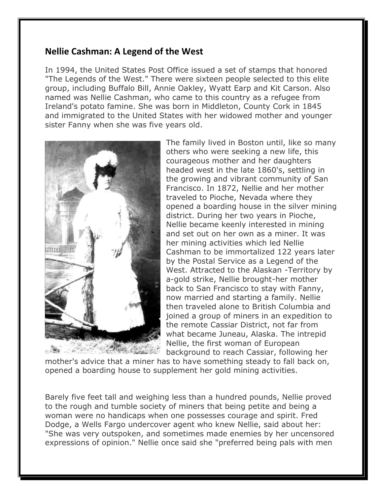## **Nellie Cashman: A Legend of the West**

In 1994, the United States Post Office issued a set of stamps that honored "The Legends of the West." There were sixteen people selected to this elite group, including Buffalo Bill, Annie Oakley, Wyatt Earp and Kit Carson. Also named was Nellie Cashman, who came to this country as a refugee from Ireland's potato famine. She was born in Middleton, County Cork in 1845 and immigrated to the United States with her widowed mother and younger sister Fanny when she was five years old.



The family lived in Boston until, like so many others who were seeking a new life, this courageous mother and her daughters headed west in the late 1860's, settling in the growing and vibrant community of San Francisco. In 1872, Nellie and her mother traveled to Pioche, Nevada where they opened a boarding house in the silver mining district. During her two years in Pioche, Nellie became keenly interested in mining and set out on her own as a miner. It was her mining activities which led Nellie Cashman to be immortalized 122 years later by the Postal Service as a Legend of the West. Attracted to the Alaskan -Territory by a-gold strike, Nellie brought-her mother back to San Francisco to stay with Fanny, now married and starting a family. Nellie then traveled alone to British Columbia and joined a group of miners in an expedition to the remote Cassiar District, not far from what became Juneau, Alaska. The intrepid Nellie, the first woman of European background to reach Cassiar, following her

mother's advice that a miner has to have something steady to fall back on, opened a boarding house to supplement her gold mining activities.

Barely five feet tall and weighing less than a hundred pounds, Nellie proved to the rough and tumble society of miners that being petite and being a woman were no handicaps when one possesses courage and spirit. Fred Dodge, a Wells Fargo undercover agent who knew Nellie, said about her: "She was very outspoken, and sometimes made enemies by her uncensored expressions of opinion." Nellie once said she "preferred being pals with men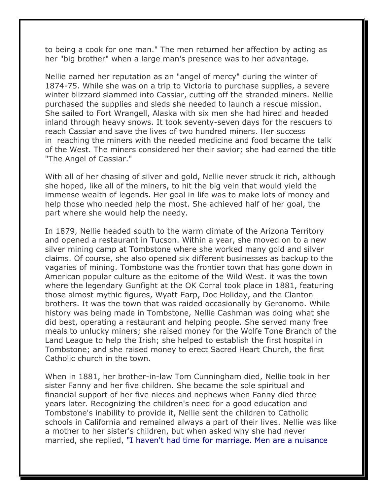to being a cook for one man." The men returned her affection by acting as her "big brother" when a large man's presence was to her advantage.

Nellie earned her reputation as an "angel of mercy" during the winter of 1874-75. While she was on a trip to Victoria to purchase supplies, a severe winter blizzard slammed into Cassiar, cutting off the stranded miners. Nellie purchased the supplies and sleds she needed to launch a rescue mission. She sailed to Fort Wrangell, Alaska with six men she had hired and headed inland through heavy snows. It took seventy-seven days for the rescuers to reach Cassiar and save the lives of two hundred miners. Her success in reaching the miners with the needed medicine and food became the talk of the West. The miners considered her their savior; she had earned the title "The Angel of Cassiar."

With all of her chasing of silver and gold, Nellie never struck it rich, although she hoped, like all of the miners, to hit the big vein that would yield the immense wealth of legends. Her goal in life was to make lots of money and help those who needed help the most. She achieved half of her goal, the part where she would help the needy.

In 1879, Nellie headed south to the warm climate of the Arizona Territory and opened a restaurant in Tucson. Within a year, she moved on to a new silver mining camp at Tombstone where she worked many gold and silver claims. Of course, she also opened six different businesses as backup to the vagaries of mining. Tombstone was the frontier town that has gone down in American popular culture as the epitome of the Wild West. it was the town where the legendary Gunfight at the OK Corral took place in 1881, featuring those almost mythic figures, Wyatt Earp, Doc Holiday, and the Clanton brothers. It was the town that was raided occasionally by Geronomo. While history was being made in Tombstone, Nellie Cashman was doing what she did best, operating a restaurant and helping people. She served many free meals to unlucky miners; she raised money for the Wolfe Tone Branch of the Land League to help the Irish; she helped to establish the first hospital in Tombstone; and she raised money to erect Sacred Heart Church, the first Catholic church in the town.

When in 1881, her brother-in-law Tom Cunningham died, Nellie took in her sister Fanny and her five children. She became the sole spiritual and financial support of her five nieces and nephews when Fanny died three years later. Recognizing the children's need for a good education and Tombstone's inability to provide it, Nellie sent the children to Catholic schools in California and remained always a part of their lives. Nellie was like a mother to her sister's children, but when asked why she had never married, she replied, "I haven't had time for marriage. Men are a nuisance